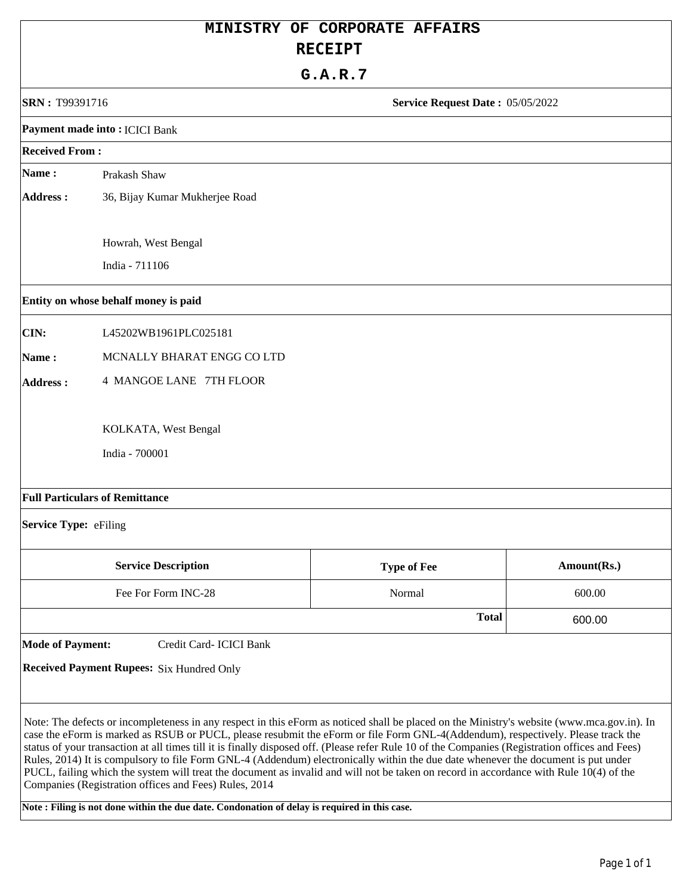|                         | MINISTRY OF CORPORATE AFFAIRS                                                                                                                                                                                                                                                                                                                                                                                                                                                                                                                                                                                                                                                                                                                                                                                                                                             |                                  |             |
|-------------------------|---------------------------------------------------------------------------------------------------------------------------------------------------------------------------------------------------------------------------------------------------------------------------------------------------------------------------------------------------------------------------------------------------------------------------------------------------------------------------------------------------------------------------------------------------------------------------------------------------------------------------------------------------------------------------------------------------------------------------------------------------------------------------------------------------------------------------------------------------------------------------|----------------------------------|-------------|
|                         | <b>RECEIPT</b><br>G.A.R.7                                                                                                                                                                                                                                                                                                                                                                                                                                                                                                                                                                                                                                                                                                                                                                                                                                                 |                                  |             |
|                         |                                                                                                                                                                                                                                                                                                                                                                                                                                                                                                                                                                                                                                                                                                                                                                                                                                                                           |                                  |             |
| SRN: T99391716          |                                                                                                                                                                                                                                                                                                                                                                                                                                                                                                                                                                                                                                                                                                                                                                                                                                                                           | Service Request Date: 05/05/2022 |             |
|                         | Payment made into: ICICI Bank                                                                                                                                                                                                                                                                                                                                                                                                                                                                                                                                                                                                                                                                                                                                                                                                                                             |                                  |             |
| <b>Received From:</b>   |                                                                                                                                                                                                                                                                                                                                                                                                                                                                                                                                                                                                                                                                                                                                                                                                                                                                           |                                  |             |
| Name:                   | Prakash Shaw                                                                                                                                                                                                                                                                                                                                                                                                                                                                                                                                                                                                                                                                                                                                                                                                                                                              |                                  |             |
| <b>Address:</b>         | 36, Bijay Kumar Mukherjee Road                                                                                                                                                                                                                                                                                                                                                                                                                                                                                                                                                                                                                                                                                                                                                                                                                                            |                                  |             |
|                         | Howrah, West Bengal                                                                                                                                                                                                                                                                                                                                                                                                                                                                                                                                                                                                                                                                                                                                                                                                                                                       |                                  |             |
|                         | India - 711106                                                                                                                                                                                                                                                                                                                                                                                                                                                                                                                                                                                                                                                                                                                                                                                                                                                            |                                  |             |
|                         | Entity on whose behalf money is paid                                                                                                                                                                                                                                                                                                                                                                                                                                                                                                                                                                                                                                                                                                                                                                                                                                      |                                  |             |
| CIN:                    | L45202WB1961PLC025181                                                                                                                                                                                                                                                                                                                                                                                                                                                                                                                                                                                                                                                                                                                                                                                                                                                     |                                  |             |
| Name:                   | MCNALLY BHARAT ENGG CO LTD                                                                                                                                                                                                                                                                                                                                                                                                                                                                                                                                                                                                                                                                                                                                                                                                                                                |                                  |             |
| <b>Address:</b>         | 4 MANGOE LANE 7TH FLOOR                                                                                                                                                                                                                                                                                                                                                                                                                                                                                                                                                                                                                                                                                                                                                                                                                                                   |                                  |             |
|                         | KOLKATA, West Bengal                                                                                                                                                                                                                                                                                                                                                                                                                                                                                                                                                                                                                                                                                                                                                                                                                                                      |                                  |             |
|                         | India - 700001                                                                                                                                                                                                                                                                                                                                                                                                                                                                                                                                                                                                                                                                                                                                                                                                                                                            |                                  |             |
|                         | <b>Full Particulars of Remittance</b>                                                                                                                                                                                                                                                                                                                                                                                                                                                                                                                                                                                                                                                                                                                                                                                                                                     |                                  |             |
| Service Type: eFiling   |                                                                                                                                                                                                                                                                                                                                                                                                                                                                                                                                                                                                                                                                                                                                                                                                                                                                           |                                  |             |
|                         | <b>Service Description</b>                                                                                                                                                                                                                                                                                                                                                                                                                                                                                                                                                                                                                                                                                                                                                                                                                                                | <b>Type of Fee</b>               | Amount(Rs.) |
|                         | Fee For Form INC-28                                                                                                                                                                                                                                                                                                                                                                                                                                                                                                                                                                                                                                                                                                                                                                                                                                                       | Normal                           | 600.00      |
|                         |                                                                                                                                                                                                                                                                                                                                                                                                                                                                                                                                                                                                                                                                                                                                                                                                                                                                           | <b>Total</b>                     | 600.00      |
| <b>Mode of Payment:</b> | Credit Card- ICICI Bank                                                                                                                                                                                                                                                                                                                                                                                                                                                                                                                                                                                                                                                                                                                                                                                                                                                   |                                  |             |
|                         | <b>Received Payment Rupees:</b> Six Hundred Only                                                                                                                                                                                                                                                                                                                                                                                                                                                                                                                                                                                                                                                                                                                                                                                                                          |                                  |             |
|                         | Note: The defects or incompleteness in any respect in this eForm as noticed shall be placed on the Ministry's website (www.mca.gov.in). In<br>case the eForm is marked as RSUB or PUCL, please resubmit the eForm or file Form GNL-4(Addendum), respectively. Please track the<br>status of your transaction at all times till it is finally disposed off. (Please refer Rule 10 of the Companies (Registration offices and Fees)<br>Rules, 2014) It is compulsory to file Form GNL-4 (Addendum) electronically within the due date whenever the document is put under<br>PUCL, failing which the system will treat the document as invalid and will not be taken on record in accordance with Rule 10(4) of the<br>Companies (Registration offices and Fees) Rules, 2014<br>Note: Filing is not done within the due date. Condonation of delay is required in this case. |                                  |             |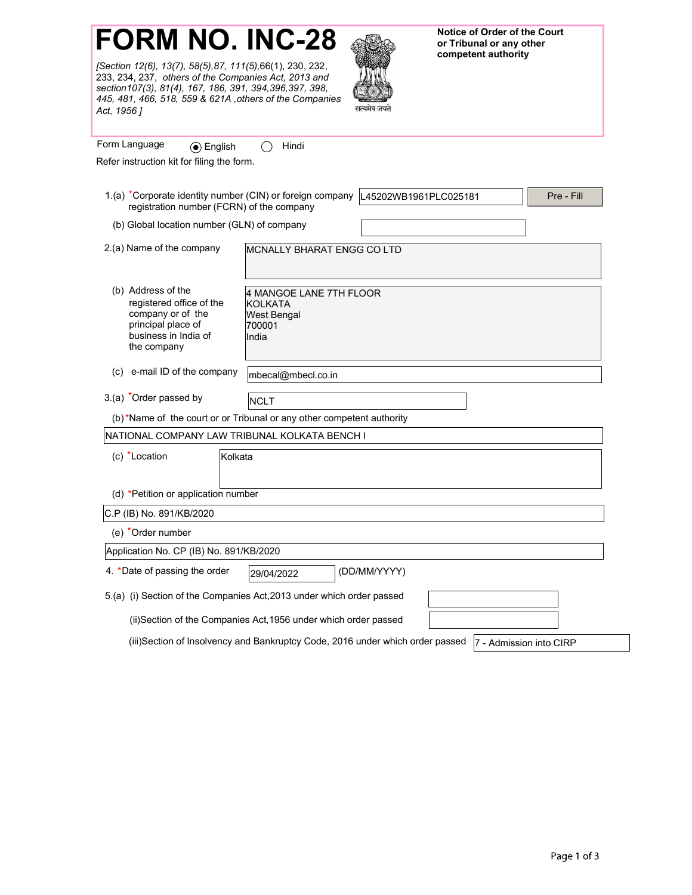[Section 12(6), 13(7), 58(5),87, 111(5),66(1), 230, 232, 233, 234, 237, others of the Companies Act, 2013 and \_\_\_\_\_\_\_\_\_\_\_\_\_\_\_\_\_\_\_\_\_\_\_\_\_\_\_ section107(3), 81(4), 167, 186, 391, 394,396,397, 398, 445, 481, 466, 518, 559 & 621A ,others of the Companies Act, 1956 ]



or Tribunal or any other competent authority

| Form Language<br>⊙ English                                                                                                       | Hindi                                                                                                    |
|----------------------------------------------------------------------------------------------------------------------------------|----------------------------------------------------------------------------------------------------------|
| Refer instruction kit for filing the form.                                                                                       |                                                                                                          |
| 1.(a) *Corporate identity number (CIN) or foreign company<br>registration number (FCRN) of the company                           | L45202WB1961PLC025181<br>Pre - Fill                                                                      |
| (b) Global location number (GLN) of company                                                                                      |                                                                                                          |
| 2.(a) Name of the company                                                                                                        | MCNALLY BHARAT ENGG CO LTD                                                                               |
| (b) Address of the<br>registered office of the<br>company or of the<br>principal place of<br>business in India of<br>the company | 4 MANGOE LANE 7TH FLOOR<br><b>KOLKATA</b><br><b>West Bengal</b><br>700001<br>India                       |
| e-mail ID of the company<br>(c)                                                                                                  | mbecal@mbecl.co.in                                                                                       |
| 3.(a) *Order passed by                                                                                                           | NCLT                                                                                                     |
|                                                                                                                                  | (b)*Name of the court or or Tribunal or any other competent authority                                    |
| NATIONAL COMPANY LAW TRIBUNAL KOLKATA BENCH I                                                                                    |                                                                                                          |
| (c) *Location<br>Kolkata                                                                                                         |                                                                                                          |
| (d) *Petition or application number                                                                                              |                                                                                                          |
| C.P (IB) No. 891/KB/2020                                                                                                         |                                                                                                          |
| (e) *Order number                                                                                                                |                                                                                                          |
| Application No. CP (IB) No. 891/KB/2020                                                                                          |                                                                                                          |
| 4. *Date of passing the order                                                                                                    | (DD/MM/YYYY)<br>29/04/2022                                                                               |
|                                                                                                                                  | 5.(a) (i) Section of the Companies Act, 2013 under which order passed                                    |
|                                                                                                                                  | (ii)Section of the Companies Act, 1956 under which order passed                                          |
|                                                                                                                                  | (iii)Section of Insolvency and Bankruptcy Code, 2016 under which order passed<br>7 - Admission into CIRP |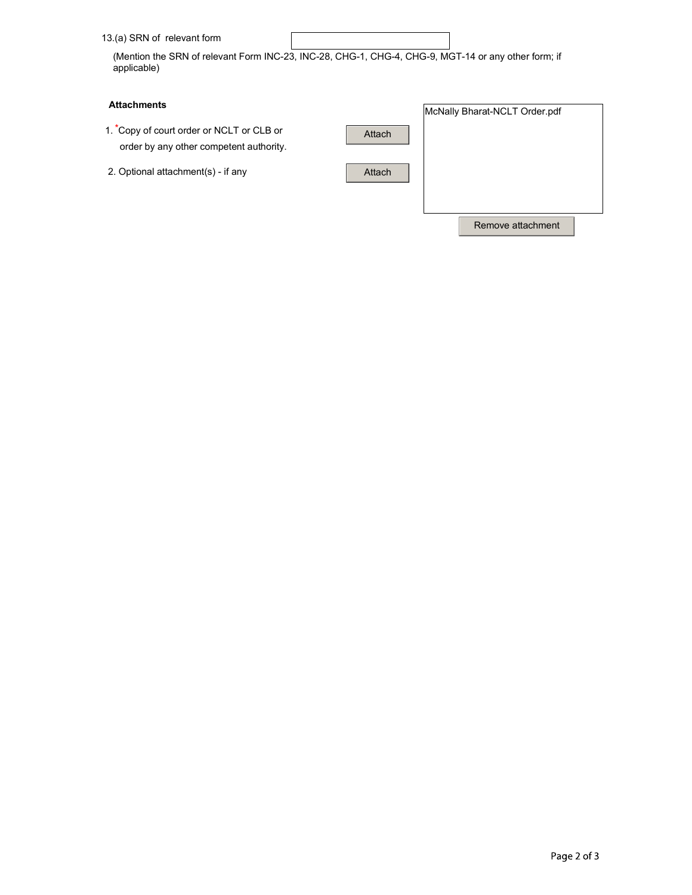| 13.(a) SRN of relevant form |  |
|-----------------------------|--|
|                             |  |

(Mention the SRN of relevant Form INC-23, INC-28, CHG-1, CHG-4, CHG-9, MGT-14 or any other form; if applicable)

## **Attachments**

- order by any other competent authority.
- 2. Optional attachment(s) if any

| <b>Attachments</b>                                                                  |        | McNally Bharat-NCLT Order.pdf |  |
|-------------------------------------------------------------------------------------|--------|-------------------------------|--|
| 1. Copy of court order or NCLT or CLB or<br>order by any other competent authority. | Attach |                               |  |
| 2. Optional attachment(s) - if any                                                  | Attach |                               |  |
|                                                                                     |        | Remove attachment             |  |